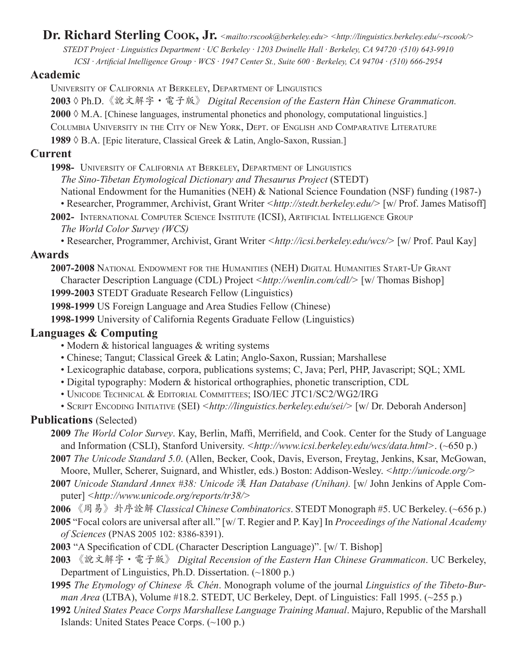# **Dr. Richard Sterling Cook, Jr.** *<mailto:rscook@berkeley.edu> <http://linguistics.berkeley.edu/~rscook/> STEDT Project · Linguistics Department · UC Berkeley · 1203 Dwinelle Hall · Berkeley, CA 94720 ·(510) 643-9910*

#### *ICSI · Artificial Intelligence Group · WCS · 1947 Center St., Suite 600 · Berkeley, CA 94704 · (510) 666-2954*

#### **Academic**

University of California at Berkeley, Department of Linguistics

**2003** ◊ Ph.D.《說文解字·電子版》 *Digital Recension of the Eastern Hàn Chinese Grammaticon.* **2000** ◊ M.A. [Chinese languages, instrumental phonetics and phonology, computational linguistics.] Columbia University in the City of New York, Dept. of English and Comparative Literature

**1989** ◊ B.A. [Epic literature, Classical Greek & Latin, Anglo-Saxon, Russian.]

#### **Current**

**1998-** University of California at Berkeley, Department of Linguistics

*The Sino-Tibetan Etymological Dictionary and Thesaurus Project* (STEDT)

National Endowment for the Humanities (NEH) & National Science Foundation (NSF) funding (1987-)

- Researcher, Programmer, Archivist, Grant Writer *<http://stedt.berkeley.edu/>* [w/ Prof. James Matisoff]
- **2002-** International Computer Science Institute (ICSI), Artificial Intelligence Group *The World Color Survey (WCS)*
	- Researcher, Programmer, Archivist, Grant Writer *<http://icsi.berkeley.edu/wcs/>* [w/ Prof. Paul Kay]

#### **Awards**

**2007-2008** National Endowment for the Humanities (NEH) Digital Humanities Start-Up Grant Character Description Language (CDL) Project *<http://wenlin.com/cdl/>* [w/ Thomas Bishop]

**1999-2003** STEDT Graduate Research Fellow (Linguistics)

**1998-1999** US Foreign Language and Area Studies Fellow (Chinese)

**1998-1999** University of California Regents Graduate Fellow (Linguistics)

#### **Languages & Computing**

- Modern & historical languages & writing systems
- Chinese; Tangut; Classical Greek & Latin; Anglo-Saxon, Russian; Marshallese
- Lexicographic database, corpora, publications systems; C, Java; Perl, PHP, Javascript; SQL; XML
- Digital typography: Modern & historical orthographies, phonetic transcription, CDL
- Unicode Technical & Editorial Committees; ISO/IEC JTC1/SC2/WG2/IRG
- SCRIPT ENCODING INITIATIVE (SEI) <http://linguistics.berkeley.edu/sei/> [w/ Dr. Deborah Anderson]

### **Publications** (Selected)

**2009** *The World Color Survey*. Kay, Berlin, Maffi, Merrifield, and Cook. Center for the Study of Language and Information (CSLI), Stanford University. <http://www.icsi.berkeley.edu/wcs/data.html>. (~650 p.)

**2007** *The Unicode Standard 5.0*. (Allen, Becker, Cook, Davis, Everson, Freytag, Jenkins, Ksar, McGowan, Moore, Muller, Scherer, Suignard, and Whistler, eds.) Boston: Addison-Wesley. *<http://unicode.org/>*

- **2007** *Unicode Standard Annex #38: Unicode* 漢 *Han Database (Unihan).* [w/ John Jenkins of Apple Computer] *<http://www.unicode.org/reports/tr38/>*
- **2006** 《周易》卦序詮解 *Classical Chinese Combinatorics*. STEDT Monograph #5. UC Berkeley. (~656 p.)

**2005** "Focal colors are universal after all." [w/ T. Regier and P. Kay] In *Proceedings of the National Academy of Sciences* (PNAS 2005 102: 8386-8391).

**2003** "A Specification of CDL (Character Description Language)". [w/ T. Bishop]

**2003** 《說文解字·電子版》 *Digital Recension of the Eastern Han Chinese Grammaticon*. UC Berkeley, Department of Linguistics, Ph.D. Dissertation. (~1800 p.)

- **1995** *The Etymology of Chinese* 辰 *Chén*. Monograph volume of the journal *Linguistics of the Tibeto-Burman Area* (LTBA), Volume #18.2. STEDT, UC Berkeley, Dept. of Linguistics: Fall 1995. (~255 p.)
- **1992** *United States Peace Corps Marshallese Language Training Manual*. Majuro, Republic of the Marshall Islands: United States Peace Corps. (~100 p.)